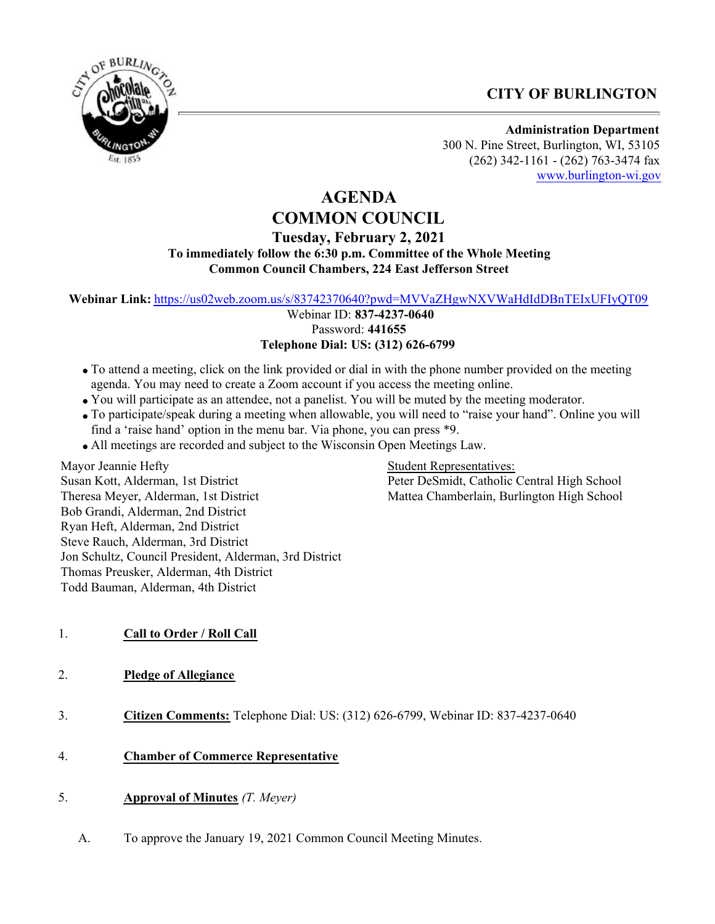## **CITY OF BURLINGTON**



**Administration Department** 300 N. Pine Street, Burlington, WI, 53105 (262) 342-1161 - (262) 763-3474 fax [www.burlington-wi.gov](http://www.burlington-wi.gov)

# **AGENDA COMMON COUNCIL**

## **Tuesday, February 2, 2021 To immediately follow the 6:30 p.m. Committee of the Whole Meeting Common Council Chambers, 224 East Jefferson Street**

**Webinar Link:** <https://us02web.zoom.us/s/83742370640?pwd=MVVaZHgwNXVWaHdIdDBnTEIxUFIyQT09>

 Webinar ID: **837-4237-0640** Password: **441655 Telephone Dial: US: (312) 626-6799**

- To attend a meeting, click on the link provided or dial in with the phone number provided on the meeting agenda. You may need to create a Zoom account if you access the meeting online.
- You will participate as an attendee, not a panelist. You will be muted by the meeting moderator.
- To participate/speak during a meeting when allowable, you will need to "raise your hand". Online you will find a 'raise hand' option in the menu bar. Via phone, you can press \*9.
- All meetings are recorded and subject to the Wisconsin Open Meetings Law.

Mayor Jeannie Hefty Susan Kott, Alderman, 1st District Theresa Meyer, Alderman, 1st District Bob Grandi, Alderman, 2nd District Ryan Heft, Alderman, 2nd District Steve Rauch, Alderman, 3rd District Jon Schultz, Council President, Alderman, 3rd District Thomas Preusker, Alderman, 4th District Todd Bauman, Alderman, 4th District

Student Representatives: Peter DeSmidt, Catholic Central High School Mattea Chamberlain, Burlington High School

- 1. **Call to Order / Roll Call**
- 2. **Pledge of Allegiance**
- 3. **Citizen Comments:** Telephone Dial: US: (312) 626-6799, Webinar ID: 837-4237-0640
- 4. **Chamber of Commerce Representative**
- 5. **Approval of Minutes** *(T. Meyer)*
	- A. To approve the January 19, 2021 Common Council Meeting Minutes.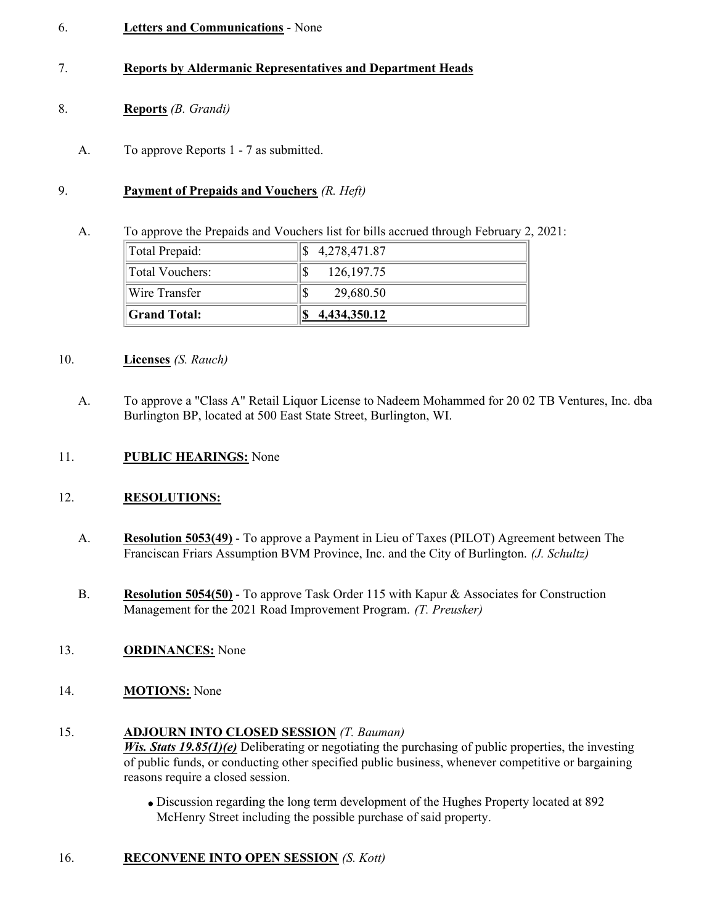#### 6. **Letters and Communications** - None

### 7. **Reports by Aldermanic Representatives and Department Heads**

## 8. **Reports** *(B. Grandi)*

A. To approve Reports 1 - 7 as submitted.

#### 9. **Payment of Prepaids and Vouchers** *(R. Heft)*

A. To approve the Prepaids and Vouchers list for bills accrued through February 2, 2021:

| $\ $ Total Prepaid:  | \$4,278,471.87 |  |
|----------------------|----------------|--|
| Total Vouchers:      | 126, 197. 75   |  |
| <b>Wire Transfer</b> | 29,680.50      |  |
| <b>Scrand Total:</b> | 4,434,350.12   |  |

#### 10. **Licenses** *(S. Rauch)*

A. To approve a "Class A" Retail Liquor License to Nadeem Mohammed for 20 02 TB Ventures, Inc. dba Burlington BP, located at 500 East State Street, Burlington, WI.

#### 11. **PUBLIC HEARINGS:** None

#### 12. **RESOLUTIONS:**

- A. **Resolution 5053(49)** To approve a Payment in Lieu of Taxes (PILOT) Agreement between The Franciscan Friars Assumption BVM Province, Inc. and the City of Burlington. *(J. Schultz)*
- B. **Resolution 5054(50)** To approve Task Order 115 with Kapur & Associates for Construction Management for the 2021 Road Improvement Program. *(T. Preusker)*
- 13. **ORDINANCES:** None
- 14. **MOTIONS:** None

#### 15. **ADJOURN INTO CLOSED SESSION** *(T. Bauman)*

*Wis. Stats 19.85(1)(e)* Deliberating or negotiating the purchasing of public properties, the investing of public funds, or conducting other specified public business, whenever competitive or bargaining reasons require a closed session.

Discussion regarding the long term development of the Hughes Property located at 892 McHenry Street including the possible purchase of said property.

## 16. **RECONVENE INTO OPEN SESSION** *(S. Kott)*